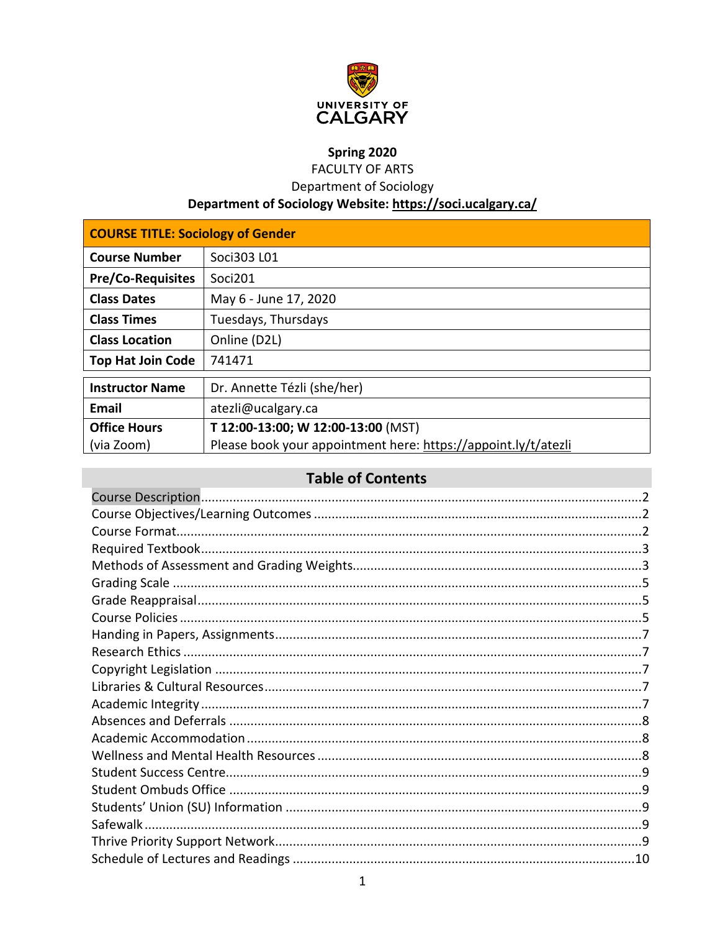

# Spring 2020

**FACULTY OF ARTS** 

Department of Sociology

# Department of Sociology Website: https://soci.ucalgary.ca/

| <b>COURSE TITLE: Sociology of Gender</b> |                                                                |  |  |  |
|------------------------------------------|----------------------------------------------------------------|--|--|--|
| <b>Course Number</b>                     | Soci303 L01                                                    |  |  |  |
| <b>Pre/Co-Requisites</b>                 | Soci201                                                        |  |  |  |
| <b>Class Dates</b>                       | May 6 - June 17, 2020                                          |  |  |  |
| <b>Class Times</b>                       | Tuesdays, Thursdays                                            |  |  |  |
| <b>Class Location</b>                    | Online (D2L)                                                   |  |  |  |
| <b>Top Hat Join Code</b>                 | 741471                                                         |  |  |  |
| <b>Instructor Name</b>                   | Dr. Annette Tézli (she/her)                                    |  |  |  |
| Email                                    | atezli@ucalgary.ca                                             |  |  |  |
| <b>Office Hours</b>                      | T 12:00-13:00; W 12:00-13:00 (MST)                             |  |  |  |
| (via Zoom)                               | Please book your appointment here: https://appoint.ly/t/atezli |  |  |  |

# **Table of Contents**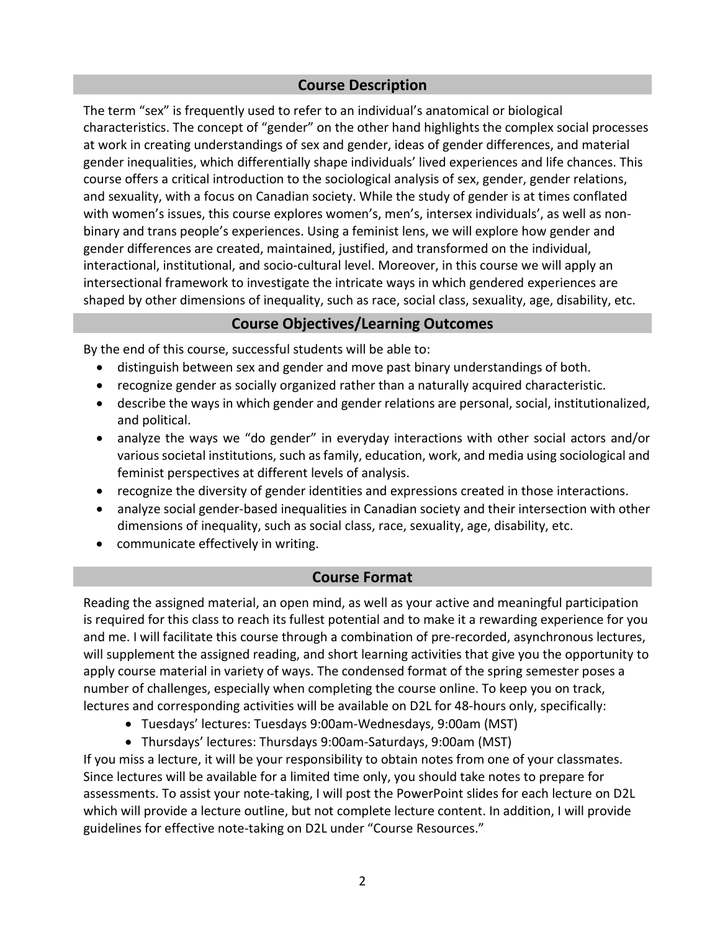# **Course Description**

<span id="page-1-0"></span>The term "sex" is frequently used to refer to an individual's anatomical or biological characteristics. The concept of "gender" on the other hand highlights the complex social processes at work in creating understandings of sex and gender, ideas of gender differences, and material gender inequalities, which differentially shape individuals' lived experiences and life chances. This course offers a critical introduction to the sociological analysis of sex, gender, gender relations, and sexuality, with a focus on Canadian society. While the study of gender is at times conflated with women's issues, this course explores women's, men's, intersex individuals', as well as nonbinary and trans people's experiences. Using a feminist lens, we will explore how gender and gender differences are created, maintained, justified, and transformed on the individual, interactional, institutional, and socio-cultural level. Moreover, in this course we will apply an intersectional framework to investigate the intricate ways in which gendered experiences are shaped by other dimensions of inequality, such as race, social class, sexuality, age, disability, etc.

# **Course Objectives/Learning Outcomes**

<span id="page-1-1"></span>By the end of this course, successful students will be able to:

- distinguish between sex and gender and move past binary understandings of both.
- recognize gender as socially organized rather than a naturally acquired characteristic.
- describe the ways in which gender and gender relations are personal, social, institutionalized, and political.
- analyze the ways we "do gender" in everyday interactions with other social actors and/or various societal institutions, such as family, education, work, and media using sociological and feminist perspectives at different levels of analysis.
- recognize the diversity of gender identities and expressions created in those interactions.
- analyze social gender-based inequalities in Canadian society and their intersection with other dimensions of inequality, such as social class, race, sexuality, age, disability, etc.
- communicate effectively in writing.

# **Course Format**

<span id="page-1-2"></span>Reading the assigned material, an open mind, as well as your active and meaningful participation is required for this class to reach its fullest potential and to make it a rewarding experience for you and me. I will facilitate this course through a combination of pre-recorded, asynchronous lectures, will supplement the assigned reading, and short learning activities that give you the opportunity to apply course material in variety of ways. The condensed format of the spring semester poses a number of challenges, especially when completing the course online. To keep you on track, lectures and corresponding activities will be available on D2L for 48-hours only, specifically:

- Tuesdays' lectures: Tuesdays 9:00am-Wednesdays, 9:00am (MST)
- Thursdays' lectures: Thursdays 9:00am-Saturdays, 9:00am (MST)

If you miss a lecture, it will be your responsibility to obtain notes from one of your classmates. Since lectures will be available for a limited time only, you should take notes to prepare for assessments. To assist your note-taking, I will post the PowerPoint slides for each lecture on D2L which will provide a lecture outline, but not complete lecture content. In addition, I will provide guidelines for effective note-taking on D2L under "Course Resources."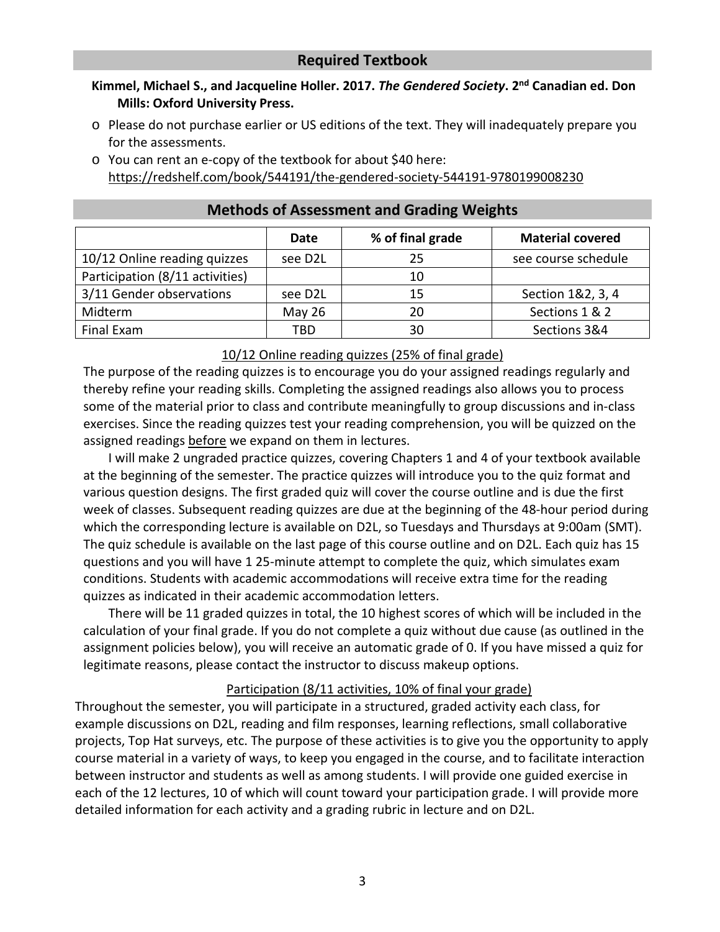# **Required Textbook**

## <span id="page-2-0"></span>**Kimmel, Michael S., and Jacqueline Holler. 2017.** *The Gendered Society***. 2nd Canadian ed. Don Mills: Oxford University Press.**

- o Please do not purchase earlier or US editions of the text. They will inadequately prepare you for the assessments.
- o You can rent an e-copy of the textbook for about \$40 here: <https://redshelf.com/book/544191/the-gendered-society-544191-9780199008230>

<span id="page-2-1"></span>

|                                 | Date     | % of final grade | <b>Material covered</b> |
|---------------------------------|----------|------------------|-------------------------|
| 10/12 Online reading quizzes    | see D2L  | 25               | see course schedule     |
| Participation (8/11 activities) |          | 10               |                         |
| 3/11 Gender observations        | see D2L  | 15               | Section 1&2, 3, 4       |
| Midterm                         | May $26$ | 20               | Sections 1 & 2          |
| Final Exam                      | TBD      | 30               | Sections 3&4            |

#### **Methods of Assessment and Grading Weights**

#### 10/12 Online reading quizzes (25% of final grade)

The purpose of the reading quizzes is to encourage you do your assigned readings regularly and thereby refine your reading skills. Completing the assigned readings also allows you to process some of the material prior to class and contribute meaningfully to group discussions and in-class exercises. Since the reading quizzes test your reading comprehension, you will be quizzed on the assigned readings before we expand on them in lectures.

I will make 2 ungraded practice quizzes, covering Chapters 1 and 4 of your textbook available at the beginning of the semester. The practice quizzes will introduce you to the quiz format and various question designs. The first graded quiz will cover the course outline and is due the first week of classes. Subsequent reading quizzes are due at the beginning of the 48-hour period during which the corresponding lecture is available on D2L, so Tuesdays and Thursdays at 9:00am (SMT). The quiz schedule is available on the last page of this course outline and on D2L. Each quiz has 15 questions and you will have 1 25-minute attempt to complete the quiz, which simulates exam conditions. Students with academic accommodations will receive extra time for the reading quizzes as indicated in their academic accommodation letters.

There will be 11 graded quizzes in total, the 10 highest scores of which will be included in the calculation of your final grade. If you do not complete a quiz without due cause (as outlined in the assignment policies below), you will receive an automatic grade of 0. If you have missed a quiz for legitimate reasons, please contact the instructor to discuss makeup options.

#### Participation (8/11 activities, 10% of final your grade)

Throughout the semester, you will participate in a structured, graded activity each class, for example discussions on D2L, reading and film responses, learning reflections, small collaborative projects, Top Hat surveys, etc. The purpose of these activities is to give you the opportunity to apply course material in a variety of ways, to keep you engaged in the course, and to facilitate interaction between instructor and students as well as among students. I will provide one guided exercise in each of the 12 lectures, 10 of which will count toward your participation grade. I will provide more detailed information for each activity and a grading rubric in lecture and on D2L.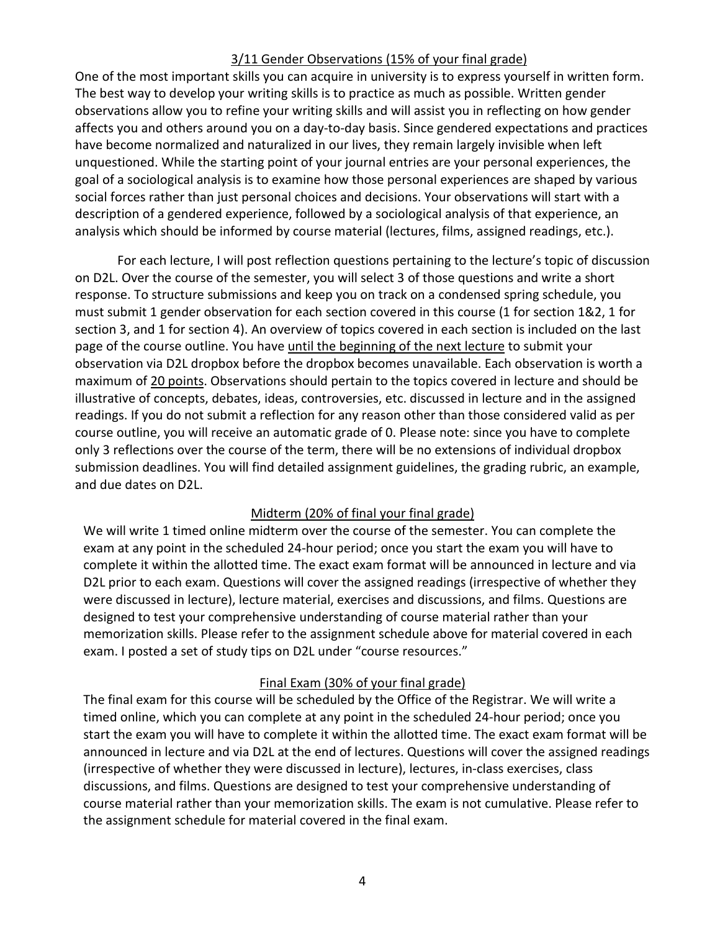#### 3/11 Gender Observations (15% of your final grade)

One of the most important skills you can acquire in university is to express yourself in written form. The best way to develop your writing skills is to practice as much as possible. Written gender observations allow you to refine your writing skills and will assist you in reflecting on how gender affects you and others around you on a day-to-day basis. Since gendered expectations and practices have become normalized and naturalized in our lives, they remain largely invisible when left unquestioned. While the starting point of your journal entries are your personal experiences, the goal of a sociological analysis is to examine how those personal experiences are shaped by various social forces rather than just personal choices and decisions. Your observations will start with a description of a gendered experience, followed by a sociological analysis of that experience, an analysis which should be informed by course material (lectures, films, assigned readings, etc.).

For each lecture, I will post reflection questions pertaining to the lecture's topic of discussion on D2L. Over the course of the semester, you will select 3 of those questions and write a short response. To structure submissions and keep you on track on a condensed spring schedule, you must submit 1 gender observation for each section covered in this course (1 for section 1&2, 1 for section 3, and 1 for section 4). An overview of topics covered in each section is included on the last page of the course outline. You have until the beginning of the next lecture to submit your observation via D2L dropbox before the dropbox becomes unavailable. Each observation is worth a maximum of 20 points. Observations should pertain to the topics covered in lecture and should be illustrative of concepts, debates, ideas, controversies, etc. discussed in lecture and in the assigned readings. If you do not submit a reflection for any reason other than those considered valid as per course outline, you will receive an automatic grade of 0. Please note: since you have to complete only 3 reflections over the course of the term, there will be no extensions of individual dropbox submission deadlines. You will find detailed assignment guidelines, the grading rubric, an example, and due dates on D2L.

#### Midterm (20% of final your final grade)

We will write 1 timed online midterm over the course of the semester. You can complete the exam at any point in the scheduled 24-hour period; once you start the exam you will have to complete it within the allotted time. The exact exam format will be announced in lecture and via D2L prior to each exam. Questions will cover the assigned readings (irrespective of whether they were discussed in lecture), lecture material, exercises and discussions, and films. Questions are designed to test your comprehensive understanding of course material rather than your memorization skills. Please refer to the assignment schedule above for material covered in each exam. I posted a set of study tips on D2L under "course resources."

### Final Exam (30% of your final grade)

The final exam for this course will be scheduled by the Office of the Registrar. We will write a timed online, which you can complete at any point in the scheduled 24-hour period; once you start the exam you will have to complete it within the allotted time. The exact exam format will be announced in lecture and via D2L at the end of lectures. Questions will cover the assigned readings (irrespective of whether they were discussed in lecture), lectures, in-class exercises, class discussions, and films. Questions are designed to test your comprehensive understanding of course material rather than your memorization skills. The exam is not cumulative. Please refer to the assignment schedule for material covered in the final exam.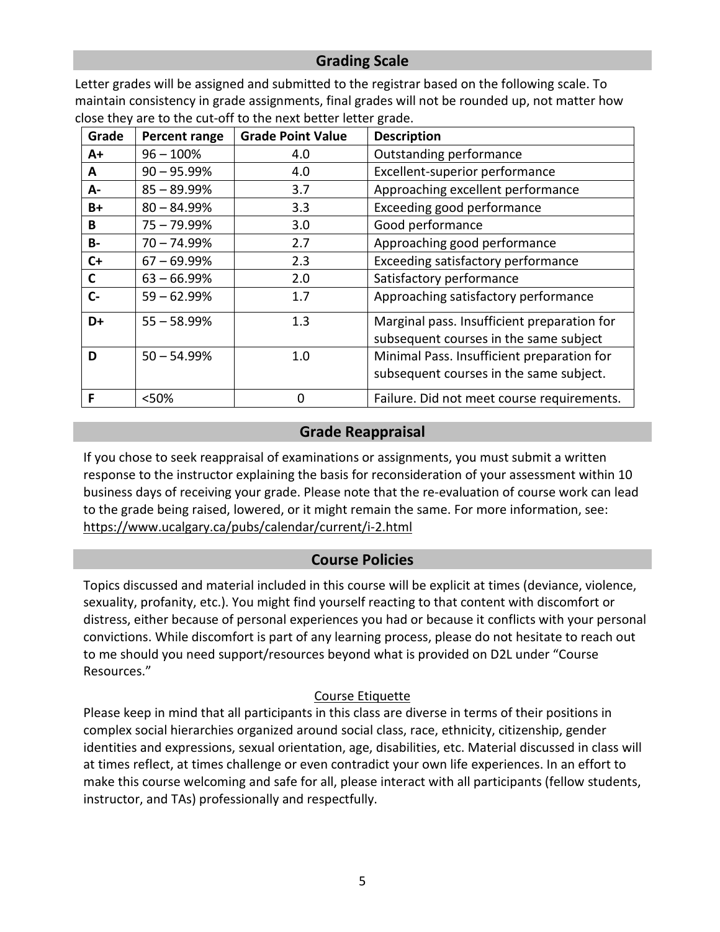# **Grading Scale**

<span id="page-4-0"></span>Letter grades will be assigned and submitted to the registrar based on the following scale. To maintain consistency in grade assignments, final grades will not be rounded up, not matter how close they are to the cut-off to the next better letter grade.

| Grade     | Percent range  | <b>Grade Point Value</b> | <b>Description</b>                          |
|-----------|----------------|--------------------------|---------------------------------------------|
| A+        | $96 - 100%$    | 4.0                      | Outstanding performance                     |
| A         | $90 - 95.99%$  | 4.0                      | Excellent-superior performance              |
| А-        | $85 - 89.99%$  | 3.7                      | Approaching excellent performance           |
| B+        | $80 - 84.99%$  | 3.3                      | Exceeding good performance                  |
| В         | $75 - 79.99\%$ | 3.0                      | Good performance                            |
| <b>B-</b> | $70 - 74.99%$  | 2.7                      | Approaching good performance                |
| C+        | $67 - 69.99%$  | 2.3                      | Exceeding satisfactory performance          |
| C         | $63 - 66.99%$  | 2.0                      | Satisfactory performance                    |
| $C -$     | $59 - 62.99%$  | 1.7                      | Approaching satisfactory performance        |
| D+        | $55 - 58.99%$  | 1.3                      | Marginal pass. Insufficient preparation for |
|           |                |                          | subsequent courses in the same subject      |
| D         | $50 - 54.99%$  | 1.0                      | Minimal Pass. Insufficient preparation for  |
|           |                |                          | subsequent courses in the same subject.     |
| F         | <50%           | $\Omega$                 | Failure. Did not meet course requirements.  |

# **Grade Reappraisal**

<span id="page-4-1"></span>If you chose to seek reappraisal of examinations or assignments, you must submit a written response to the instructor explaining the basis for reconsideration of your assessment within 10 business days of receiving your grade. Please note that the re-evaluation of course work can lead to the grade being raised, lowered, or it might remain the same. For more information, see: <https://www.ucalgary.ca/pubs/calendar/current/i-2.html>

# **Course Policies**

<span id="page-4-2"></span>Topics discussed and material included in this course will be explicit at times (deviance, violence, sexuality, profanity, etc.). You might find yourself reacting to that content with discomfort or distress, either because of personal experiences you had or because it conflicts with your personal convictions. While discomfort is part of any learning process, please do not hesitate to reach out to me should you need support/resources beyond what is provided on D2L under "Course Resources."

# Course Etiquette

Please keep in mind that all participants in this class are diverse in terms of their positions in complex social hierarchies organized around social class, race, ethnicity, citizenship, gender identities and expressions, sexual orientation, age, disabilities, etc. Material discussed in class will at times reflect, at times challenge or even contradict your own life experiences. In an effort to make this course welcoming and safe for all, please interact with all participants (fellow students, instructor, and TAs) professionally and respectfully.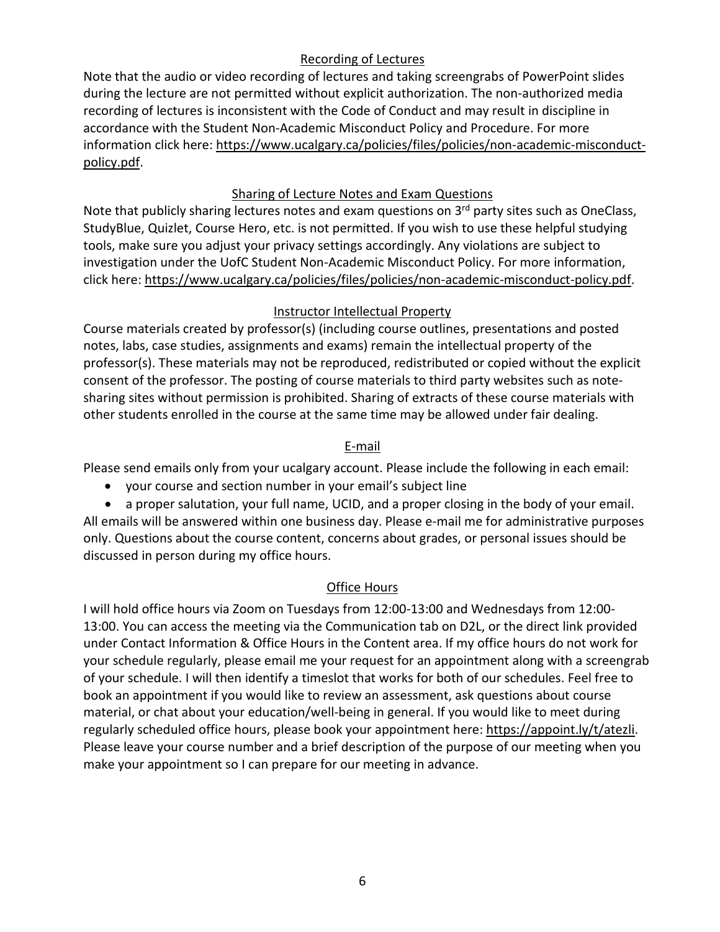# Recording of Lectures

Note that the audio or video recording of lectures and taking screengrabs of PowerPoint slides during the lecture are not permitted without explicit authorization. The non-authorized media recording of lectures is inconsistent with the Code of Conduct and may result in discipline in accordance with the Student Non-Academic Misconduct Policy and Procedure. For more information click here: [https://www.ucalgary.ca/policies/files/policies/non-academic-misconduct](https://www.ucalgary.ca/policies/files/policies/non-academic-misconduct-policy.pdf)[policy.pdf.](https://www.ucalgary.ca/policies/files/policies/non-academic-misconduct-policy.pdf)

# Sharing of Lecture Notes and Exam Questions

Note that publicly sharing lectures notes and exam questions on 3<sup>rd</sup> party sites such as OneClass, StudyBlue, Quizlet, Course Hero, etc. is not permitted. If you wish to use these helpful studying tools, make sure you adjust your privacy settings accordingly. Any violations are subject to investigation under the UofC Student Non-Academic Misconduct Policy. For more information, click here: [https://www.ucalgary.ca/policies/files/policies/non-academic-misconduct-policy.pdf.](https://www.ucalgary.ca/policies/files/policies/non-academic-misconduct-policy.pdf)

# Instructor Intellectual Property

Course materials created by professor(s) (including course outlines, presentations and posted notes, labs, case studies, assignments and exams) remain the intellectual property of the professor(s). These materials may not be reproduced, redistributed or copied without the explicit consent of the professor. The posting of course materials to third party websites such as notesharing sites without permission is prohibited. Sharing of extracts of these course materials with other students enrolled in the course at the same time may be allowed under fair dealing.

# E-mail

Please send emails only from your ucalgary account. Please include the following in each email:

- your course and section number in your email's subject line
- a proper salutation, your full name, UCID, and a proper closing in the body of your email.

All emails will be answered within one business day. Please e-mail me for administrative purposes only. Questions about the course content, concerns about grades, or personal issues should be discussed in person during my office hours.

### Office Hours

I will hold office hours via Zoom on Tuesdays from 12:00-13:00 and Wednesdays from 12:00- 13:00. You can access the meeting via the Communication tab on D2L, or the direct link provided under Contact Information & Office Hours in the Content area. If my office hours do not work for your schedule regularly, please email me your request for an appointment along with a screengrab of your schedule. I will then identify a timeslot that works for both of our schedules. Feel free to book an appointment if you would like to review an assessment, ask questions about course material, or chat about your education/well-being in general. If you would like to meet during regularly scheduled office hours, please book your appointment here: [https://appoint.ly/t/atezli.](https://appoint.ly/t/atezli) Please leave your course number and a brief description of the purpose of our meeting when you make your appointment so I can prepare for our meeting in advance.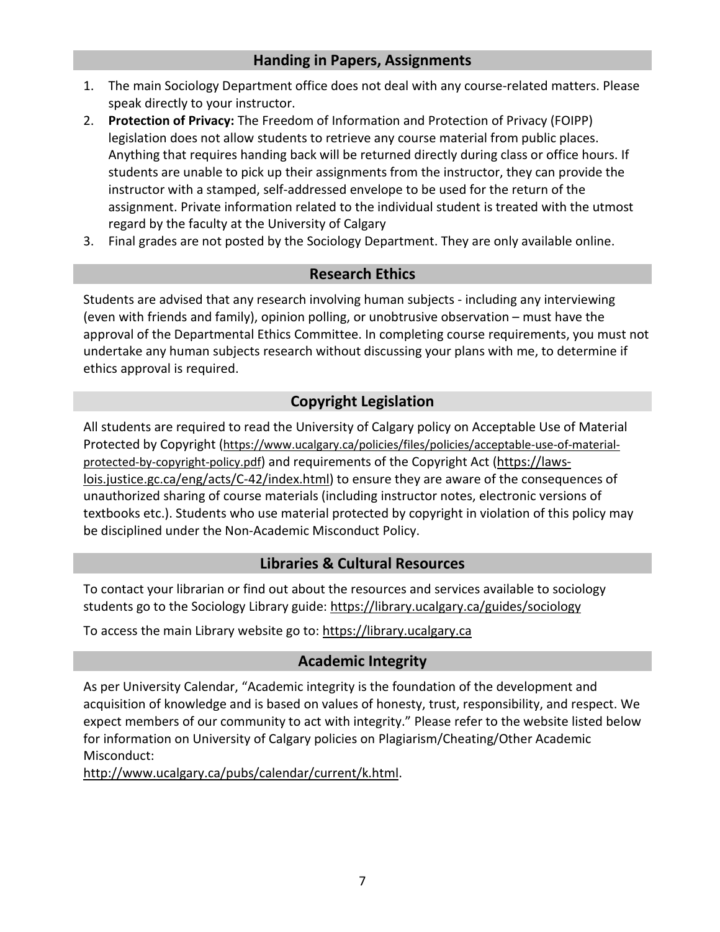# **Handing in Papers, Assignments**

- <span id="page-6-0"></span>1. The main Sociology Department office does not deal with any course-related matters. Please speak directly to your instructor.
- 2. **Protection of Privacy:** The Freedom of Information and Protection of Privacy (FOIPP) legislation does not allow students to retrieve any course material from public places. Anything that requires handing back will be returned directly during class or office hours. If students are unable to pick up their assignments from the instructor, they can provide the instructor with a stamped, self-addressed envelope to be used for the return of the assignment. Private information related to the individual student is treated with the utmost regard by the faculty at the University of Calgary
- <span id="page-6-1"></span>3. Final grades are not posted by the Sociology Department. They are only available online.

# **Research Ethics**

Students are advised that any research involving human subjects - including any interviewing (even with friends and family), opinion polling, or unobtrusive observation – must have the approval of the Departmental Ethics Committee. In completing course requirements, you must not undertake any human subjects research without discussing your plans with me, to determine if ethics approval is required.

# **Copyright Legislation**

<span id="page-6-2"></span>All students are required to read the University of Calgary policy on Acceptable Use of Material Protected by Copyright [\(https://www.ucalgary.ca/policies/files/policies/acceptable-use-of-material](https://www.ucalgary.ca/policies/files/policies/acceptable-use-of-material-protected-by-copyright-policy.pdf)[protected-by-copyright-policy.pdf\)](https://www.ucalgary.ca/policies/files/policies/acceptable-use-of-material-protected-by-copyright-policy.pdf) and requirements of the Copyright Act [\(https://laws](https://laws-lois.justice.gc.ca/eng/acts/C-42/index.html)[lois.justice.gc.ca/eng/acts/C-42/index.html\)](https://laws-lois.justice.gc.ca/eng/acts/C-42/index.html) to ensure they are aware of the consequences of unauthorized sharing of course materials (including instructor notes, electronic versions of textbooks etc.). Students who use material protected by copyright in violation of this policy may be disciplined under the Non-Academic Misconduct Policy.

# **Libraries & Cultural Resources**

<span id="page-6-3"></span>To contact your librarian or find out about the resources and services available to sociology students go to the Sociology Library guide:<https://library.ucalgary.ca/guides/sociology>

<span id="page-6-4"></span>To access the main Library website go to: [https://library.ucalgary.ca](https://library.ucalgary.ca/)

# **Academic Integrity**

As per University Calendar, "Academic integrity is the foundation of the development and acquisition of knowledge and is based on values of honesty, trust, responsibility, and respect. We expect members of our community to act with integrity." Please refer to the website listed below for information on University of Calgary policies on Plagiarism/Cheating/Other Academic Misconduct:

[http://www.ucalgary.ca/pubs/calendar/current/k.html.](http://www.ucalgary.ca/pubs/calendar/current/k.html)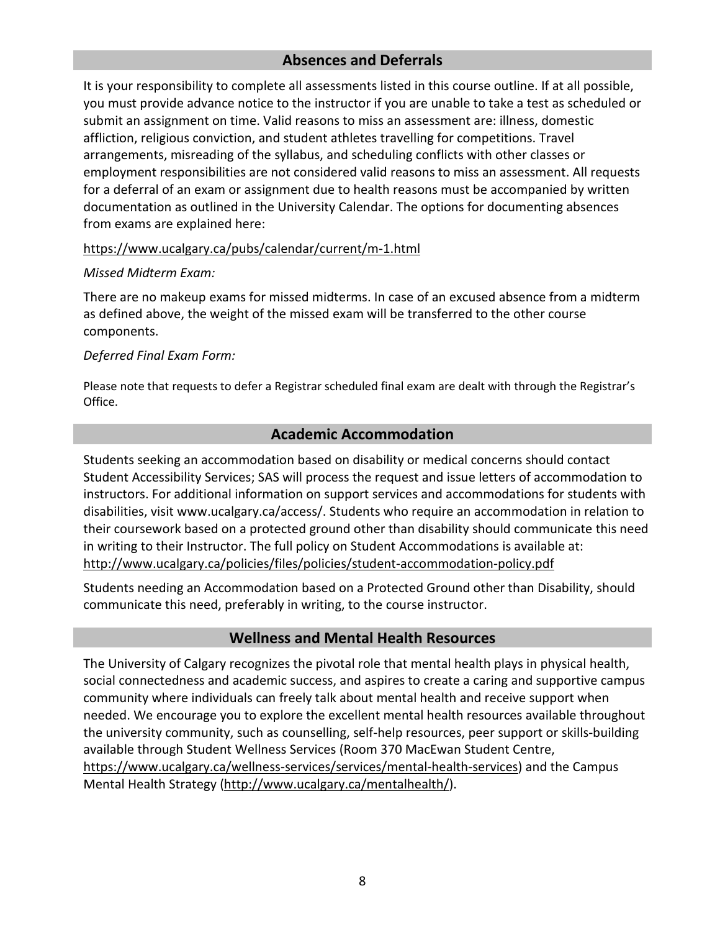# **Absences and Deferrals**

<span id="page-7-0"></span>It is your responsibility to complete all assessments listed in this course outline. If at all possible, you must provide advance notice to the instructor if you are unable to take a test as scheduled or submit an assignment on time. Valid reasons to miss an assessment are: illness, domestic affliction, religious conviction, and student athletes travelling for competitions. Travel arrangements, misreading of the syllabus, and scheduling conflicts with other classes or employment responsibilities are not considered valid reasons to miss an assessment. All requests for a deferral of an exam or assignment due to health reasons must be accompanied by written documentation as outlined in the University Calendar. The options for documenting absences from exams are explained here:

#### <https://www.ucalgary.ca/pubs/calendar/current/m-1.html>

#### *Missed Midterm Exam:*

There are no makeup exams for missed midterms. In case of an excused absence from a midterm as defined above, the weight of the missed exam will be transferred to the other course components.

#### *Deferred Final Exam Form:*

Please note that requests to defer a Registrar scheduled final exam are dealt with through the Registrar's Office.

# **Academic Accommodation**

<span id="page-7-1"></span>Students seeking an accommodation based on disability or medical concerns should contact Student Accessibility Services; SAS will process the request and issue letters of accommodation to instructors. For additional information on support services and accommodations for students with disabilities, visit www.ucalgary.ca/access/. Students who require an accommodation in relation to their coursework based on a protected ground other than disability should communicate this need in writing to their Instructor. The full policy on Student Accommodations is available at: <http://www.ucalgary.ca/policies/files/policies/student-accommodation-policy.pdf>

Students needing an Accommodation based on a Protected Ground other than Disability, should communicate this need, preferably in writing, to the course instructor.

### **Wellness and Mental Health Resources**

<span id="page-7-2"></span>The University of Calgary recognizes the pivotal role that mental health plays in physical health, social connectedness and academic success, and aspires to create a caring and supportive campus community where individuals can freely talk about mental health and receive support when needed. We encourage you to explore the excellent mental health resources available throughout the university community, such as counselling, self-help resources, peer support or skills-building available through Student Wellness Services (Room 370 MacEwan Student Centre, [https://www.ucalgary.ca/wellness-services/services/mental-health-services\)](https://www.ucalgary.ca/wellness-services/services/mental-health-services) and the Campus Mental Health Strategy [\(http://www.ucalgary.ca/mentalhealth/\)](http://www.ucalgary.ca/mentalhealth/).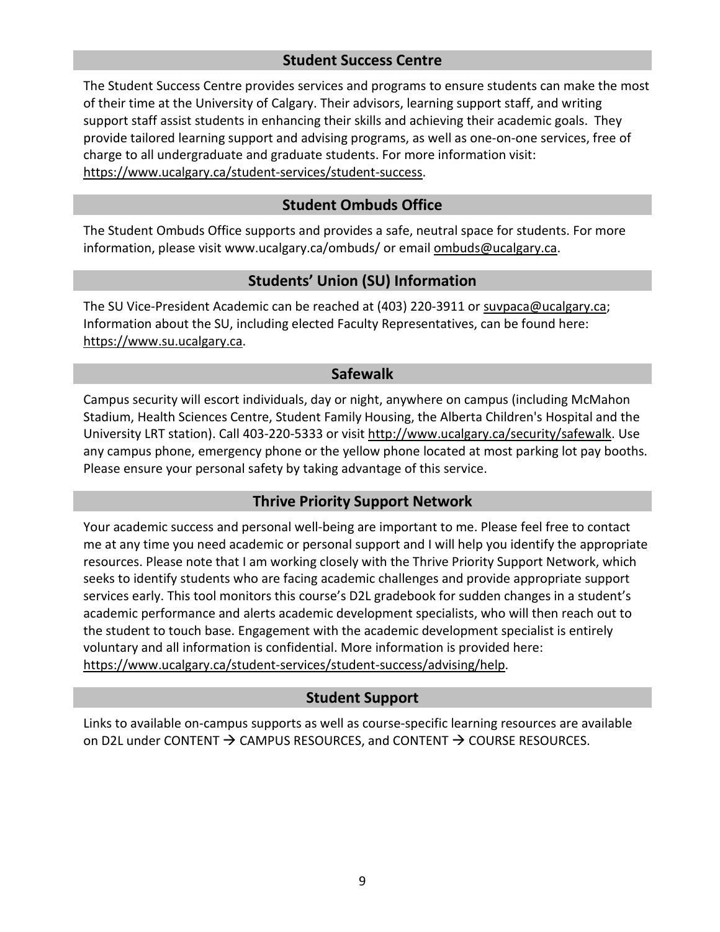# **Student Success Centre**

<span id="page-8-0"></span>The Student Success Centre provides services and programs to ensure students can make the most of their time at the University of Calgary. Their advisors, learning support staff, and writing support staff assist students in enhancing their skills and achieving their academic goals. They provide tailored learning support and advising programs, as well as one-on-one services, free of charge to all undergraduate and graduate students. For more information visit: [https://www.ucalgary.ca/student-services/student-success.](https://www.ucalgary.ca/student-services/student-success)

# **Student Ombuds Office**

<span id="page-8-1"></span>The Student Ombuds Office supports and provides a safe, neutral space for students. For more information, please visit www.ucalgary.ca/ombuds/ or email [ombuds@ucalgary.ca.](mailto:ombuds@ucalgary.ca)

# **Students' Union (SU) Information**

<span id="page-8-2"></span>The SU Vice-President Academic can be reached at (403) 220-3911 or [suvpaca@ucalgary.ca;](mailto:suvpaca@ucalgary.ca) Information about the SU, including elected Faculty Representatives, can be found here: [https://www.su.ucalgary.ca.](https://www.su.ucalgary.ca/)

#### **Safewalk**

<span id="page-8-3"></span>Campus security will escort individuals, day or night, anywhere on campus (including McMahon Stadium, Health Sciences Centre, Student Family Housing, the Alberta Children's Hospital and the University LRT station). Call 403-220-5333 or visit [http://www.ucalgary.ca/security/safewalk.](http://www.ucalgary.ca/security/safewalk) Use any campus phone, emergency phone or the yellow phone located at most parking lot pay booths. Please ensure your personal safety by taking advantage of this service.

### **Thrive Priority Support Network**

<span id="page-8-4"></span>Your academic success and personal well-being are important to me. Please feel free to contact me at any time you need academic or personal support and I will help you identify the appropriate resources. Please note that I am working closely with the Thrive Priority Support Network, which seeks to identify students who are facing academic challenges and provide appropriate support services early. This tool monitors this course's D2L gradebook for sudden changes in a student's academic performance and alerts academic development specialists, who will then reach out to the student to touch base. Engagement with the academic development specialist is entirely voluntary and all information is confidential. More information is provided here: [https://www.ucalgary.ca/student-services/student-success/advising/help.](https://www.ucalgary.ca/student-services/student-success/advising/help)

### **Student Support**

Links to available on-campus supports as well as course-specific learning resources are available on D2L under CONTENT  $\rightarrow$  CAMPUS RESOURCES, and CONTENT  $\rightarrow$  COURSE RESOURCES.